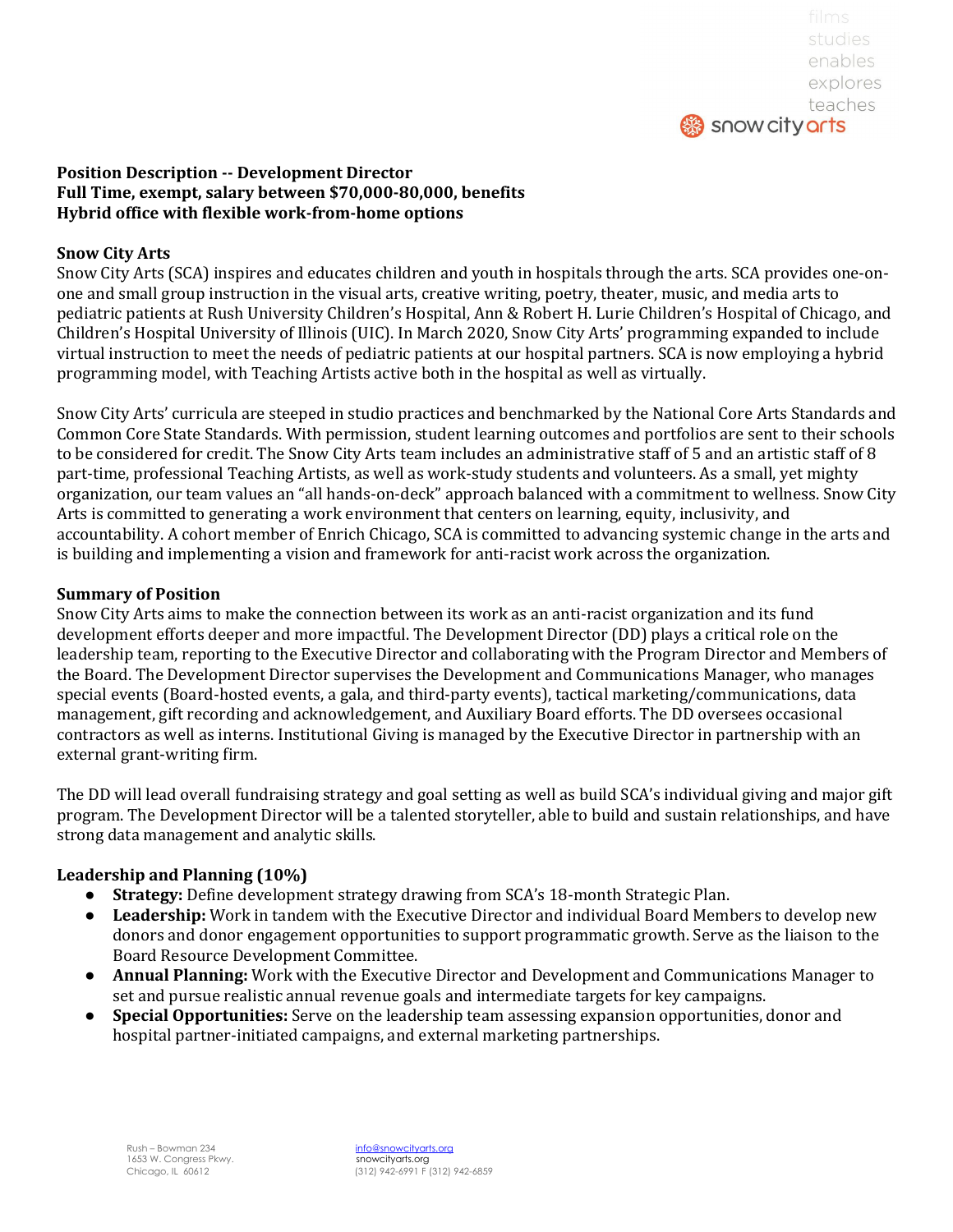

# **Position Description -- Development Director** Full Time, exempt, salary between \$70,000-80,000, benefits **Hybrid office with flexible work-from-home options**

### **Snow City Arts**

Snow City Arts (SCA) inspires and educates children and youth in hospitals through the arts. SCA provides one-onone and small group instruction in the visual arts, creative writing, poetry, theater, music, and media arts to pediatric patients at Rush University Children's Hospital, Ann & Robert H. Lurie Children's Hospital of Chicago, and Children's Hospital University of Illinois (UIC). In March 2020, Snow City Arts' programming expanded to include virtual instruction to meet the needs of pediatric patients at our hospital partners. SCA is now employing a hybrid programming model, with Teaching Artists active both in the hospital as well as virtually.

Snow City Arts' curricula are steeped in studio practices and benchmarked by the National Core Arts Standards and Common Core State Standards. With permission, student learning outcomes and portfolios are sent to their schools to be considered for credit. The Snow City Arts team includes an administrative staff of 5 and an artistic staff of 8 part-time, professional Teaching Artists, as well as work-study students and volunteers. As a small, yet mighty organization, our team values an "all hands-on-deck" approach balanced with a commitment to wellness. Snow City Arts is committed to generating a work environment that centers on learning, equity, inclusivity, and accountability. A cohort member of Enrich Chicago, SCA is committed to advancing systemic change in the arts and is building and implementing a vision and framework for anti-racist work across the organization.

#### **Summary of Position**

Snow City Arts aims to make the connection between its work as an anti-racist organization and its fund development efforts deeper and more impactful. The Development Director (DD) plays a critical role on the leadership team, reporting to the Executive Director and collaborating with the Program Director and Members of the Board. The Development Director supervises the Development and Communications Manager, who manages special events (Board-hosted events, a gala, and third-party events), tactical marketing/communications, data management, gift recording and acknowledgement, and Auxiliary Board efforts. The DD oversees occasional contractors as well as interns. Institutional Giving is managed by the Executive Director in partnership with an external grant-writing firm.

The DD will lead overall fundraising strategy and goal setting as well as build SCA's individual giving and major gift program. The Development Director will be a talented storyteller, able to build and sustain relationships, and have strong data management and analytic skills.

#### **Leadership and Planning (10%)**

- **Strategy:** Define development strategy drawing from SCA's 18-month Strategic Plan.
- **Leadership:** Work in tandem with the Executive Director and individual Board Members to develop new donors and donor engagement opportunities to support programmatic growth. Serve as the liaison to the Board Resource Development Committee.
- **Annual Planning:** Work with the Executive Director and Development and Communications Manager to set and pursue realistic annual revenue goals and intermediate targets for key campaigns.
- **Special Opportunities:** Serve on the leadership team assessing expansion opportunities, donor and hospital partner-initiated campaigns, and external marketing partnerships.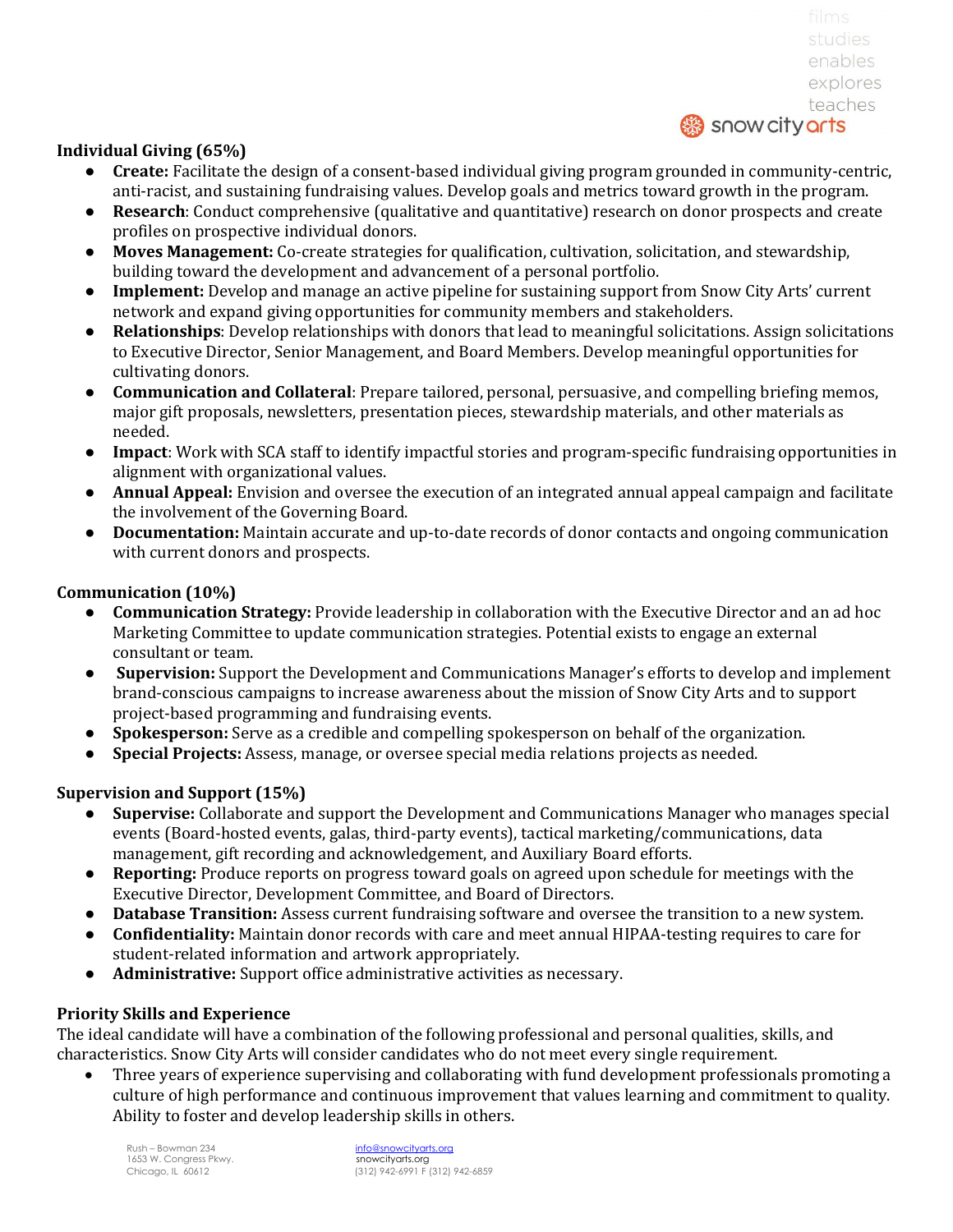# **Individual Giving (65%)**

- **Create:** Facilitate the design of a consent-based individual giving program grounded in community-centric, anti-racist, and sustaining fundraising values. Develop goals and metrics toward growth in the program.
- **Research**: Conduct comprehensive (qualitative and quantitative) research on donor prospects and create profiles on prospective individual donors.
- Moves Management: Co-create strategies for qualification, cultivation, solicitation, and stewardship, building toward the development and advancement of a personal portfolio.
- **Implement:** Develop and manage an active pipeline for sustaining support from Snow City Arts' current network and expand giving opportunities for community members and stakeholders.
- **Relationships**: Develop relationships with donors that lead to meaningful solicitations. Assign solicitations to Executive Director, Senior Management, and Board Members. Develop meaningful opportunities for cultivating donors.
- **Communication and Collateral**: Prepare tailored, personal, persuasive, and compelling briefing memos, major gift proposals, newsletters, presentation pieces, stewardship materials, and other materials as needed.
- **Impact**: Work with SCA staff to identify impactful stories and program-specific fundraising opportunities in alignment with organizational values.
- **Annual Appeal:** Envision and oversee the execution of an integrated annual appeal campaign and facilitate the involvement of the Governing Board.
- **Documentation:** Maintain accurate and up-to-date records of donor contacts and ongoing communication with current donors and prospects.

### **Communication (10%)**

- **Communication Strategy:** Provide leadership in collaboration with the Executive Director and an ad hoc Marketing Committee to update communication strategies. Potential exists to engage an external consultant or team.
- **Supervision:** Support the Development and Communications Manager's efforts to develop and implement brand-conscious campaigns to increase awareness about the mission of Snow City Arts and to support project-based programming and fundraising events.
- **Spokesperson:** Serve as a credible and compelling spokesperson on behalf of the organization.
- **Special Projects:** Assess, manage, or oversee special media relations projects as needed.

#### **Supervision and Support (15%)**

- **Supervise:** Collaborate and support the Development and Communications Manager who manages special events (Board-hosted events, galas, third-party events), tactical marketing/communications, data management, gift recording and acknowledgement, and Auxiliary Board efforts.
- **Reporting:** Produce reports on progress toward goals on agreed upon schedule for meetings with the Executive Director, Development Committee, and Board of Directors.
- **Database Transition:** Assess current fundraising software and oversee the transition to a new system.
- **Confidentiality:** Maintain donor records with care and meet annual HIPAA-testing requires to care for student-related information and artwork appropriately.
- Administrative: Support office administrative activities as necessary.

# **Priority Skills and Experience**

The ideal candidate will have a combination of the following professional and personal qualities, skills, and characteristics. Snow City Arts will consider candidates who do not meet every single requirement.

Three years of experience supervising and collaborating with fund development professionals promoting a culture of high performance and continuous improvement that values learning and commitment to quality. Ability to foster and develop leadership skills in others.

1653 W. Congress Pkwy.<br>Chicago, IL 60612

Rush – Bowman 234 **info@snowcityarts.org** snowcityarts.org<br>(312) 942-6991 F (312) 942-6859